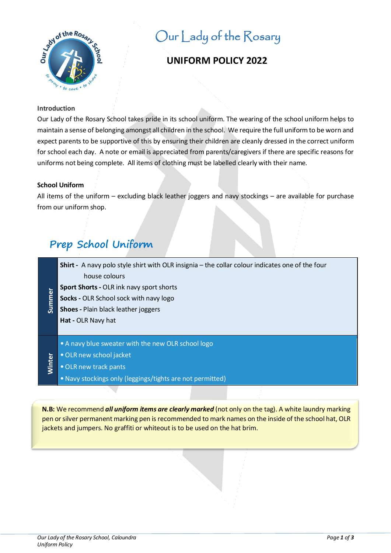

# Our Lady of the Rosary

# **UNIFORM POLICY 2022**

### **Introduction**

Our Lady of the Rosary School takes pride in its school uniform. The wearing of the school uniform helps to maintain a sense of belonging amongst all children in the school. We require the full uniform to be worn and expect parents to be supportive of this by ensuring their children are cleanly dressed in the correct uniform for school each day. A note or email is appreciated from parents/caregivers if there are specific reasons for uniforms not being complete. All items of clothing must be labelled clearly with their name.

# **School Uniform**

All items of the uniform – excluding black leather joggers and navy stockings – are available for purchase from our uniform shop.

# **Prep School Uniform**

**Shirt -** A navy polo style shirt with OLR insignia – the collar colour indicates one of the four house colours

- **Sport Shorts** OLR ink navy sport shorts
- Summer **Socks -** OLR School sock with navy logo
- **Shoes** Plain black leather joggers

**Hat -** OLR Navy hat

- A navy blue sweater with the new OLR school logo
- •OLR new school jacket
- •OLR new track pants

Winter

•Navy stockings only (leggings/tights are not permitted)

**N.B:** We recommend *all uniform items are clearly marked* (not only on the tag). A white laundry marking pen or silver permanent marking pen is recommended to mark names on the inside of the school hat, OLR jackets and jumpers. No graffiti or whiteout is to be used on the hat brim.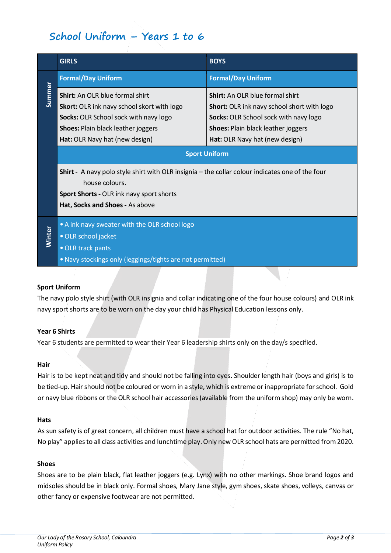# **School Uniform – Years 1 to 6**

| <b>Formal/Day Uniform</b><br><b>Shirt:</b> An OLR blue formal shirt                                                                                                                                     | <b>Formal/Day Uniform</b>                                                                                                                                                                                    |
|---------------------------------------------------------------------------------------------------------------------------------------------------------------------------------------------------------|--------------------------------------------------------------------------------------------------------------------------------------------------------------------------------------------------------------|
|                                                                                                                                                                                                         |                                                                                                                                                                                                              |
| Skort: OLR ink navy school skort with logo<br>Socks: OLR School sock with navy logo<br><b>Shoes: Plain black leather joggers</b><br>Hat: OLR Navy hat (new design)                                      | <b>Shirt:</b> An OLR blue formal shirt<br>Short: OLR ink navy school short with logo<br>Socks: OLR School sock with navy logo<br><b>Shoes: Plain black leather joggers</b><br>Hat: OLR Navy hat (new design) |
| <b>Shirt</b> - A navy polo style shirt with OLR insignia – the collar colour indicates one of the four<br>house colours.<br>Sport Shorts - OLR ink navy sport shorts<br>Hat, Socks and Shoes - As above |                                                                                                                                                                                                              |
| • A ink navy sweater with the OLR school logo<br><b>Winter</b><br>· OLR school jacket<br>• OLR track pants<br>. Navy stockings only (leggings/tights are not permitted)                                 |                                                                                                                                                                                                              |
|                                                                                                                                                                                                         | <b>Sport Uniform</b>                                                                                                                                                                                         |

# **Sport Uniform**

The navy polo style shirt (with OLR insignia and collar indicating one of the four house colours) and OLR ink navy sport shorts are to be worn on the day your child has Physical Education lessons only.

# **Year 6 Shirts**

Year 6 students are permitted to wear their Year 6 leadership shirts only on the day/s specified.

#### **Hair**

Hair is to be kept neat and tidy and should not be falling into eyes. Shoulder length hair (boys and girls) is to be tied-up. Hair should not be coloured or worn in a style, which is extreme or inappropriate for school. Gold or navy blue ribbons or the OLR school hair accessories (available from the uniform shop) may only be worn.

#### **Hats**

As sun safety is of great concern, all children must have a school hat for outdoor activities. The rule "No hat, No play" applies to all class activities and lunchtime play. Only new OLR school hats are permitted from 2020.

### **Shoes**

Shoes are to be plain black, flat leather joggers (e.g. Lynx) with no other markings. Shoe brand logos and midsoles should be in black only. Formal shoes, Mary Jane style, gym shoes, skate shoes, volleys, canvas or other fancy or expensive footwear are not permitted.